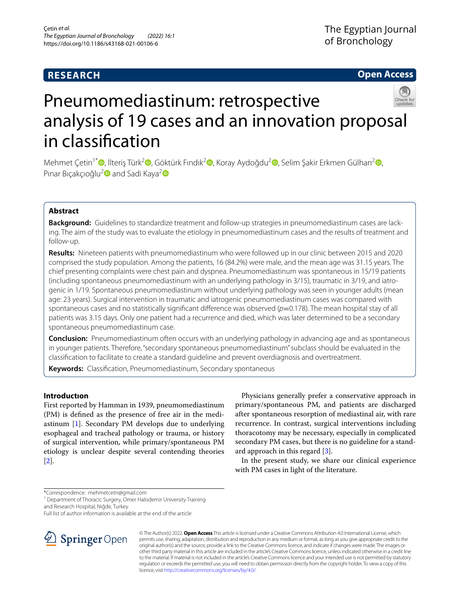# **RESEARCH**

# **Open Access**



# Pneumomediastinum: retrospective analysis of 19 cases and an innovation proposal in classifcation

Mehmet Çetin<sup>1\*</sup> (**D**[,](https://orcid.org/0000-0003-1379-2855) İlteriş Türk<sup>[2](https://orcid.org/0000-0002-1143-9655)</sup> (**D**[,](https://orcid.org/0000-0001-6385-4722) Göktürk Fındık<sup>2</sup> (**D**, Koray Aydoğdu<sup>2</sup> (**D**, Selim Şakir Erkmen Gülhan<sup>2</sup> (**D**, Pınar Bıçakçıoğlu<sup>[2](https://orcid.org/0000-0002-9230-9720)</sup> and Sadi Kaya<sup>2</sup> D

# **Abstract**

**Background:** Guidelines to standardize treatment and follow-up strategies in pneumomediastinum cases are lacking. The aim of the study was to evaluate the etiology in pneumomediastinum cases and the results of treatment and follow-up.

**Results:** Nineteen patients with pneumomediastinum who were followed up in our clinic between 2015 and 2020 comprised the study population. Among the patients, 16 (84.2%) were male, and the mean age was 31.15 years. The chief presenting complaints were chest pain and dyspnea. Pneumomediastinum was spontaneous in 15/19 patients (including spontaneous pneumomediastinum with an underlying pathology in 3/15), traumatic in 3/19, and iatrogenic in 1/19. Spontaneous pneumomediastinum without underlying pathology was seen in younger adults (mean age: 23 years). Surgical intervention in traumatic and iatrogenic pneumomediastinum cases was compared with spontaneous cases and no statistically significant difference was observed ( $p=0.178$ ). The mean hospital stay of all patients was 3.15 days. Only one patient had a recurrence and died, which was later determined to be a secondary spontaneous pneumomediastinum case.

**Conclusion:** Pneumomediastinum often occurs with an underlying pathology in advancing age and as spontaneous in younger patients. Therefore, "secondary spontaneous pneumomediastinum" subclass should be evaluated in the classifcation to facilitate to create a standard guideline and prevent overdiagnosis and overtreatment.

**Keywords:** Classifcation, Pneumomediastinum, Secondary spontaneous

# **Introductıon**

First reported by Hamman in 1939, pneumomediastinum (PM) is defned as the presence of free air in the mediastinum [[1\]](#page-6-0). Secondary PM develops due to underlying esophageal and tracheal pathology or trauma, or history of surgical intervention, while primary/spontaneous PM etiology is unclear despite several contending theories [[2\]](#page-6-1).

Physicians generally prefer a conservative approach in primary/spontaneous PM, and patients are discharged after spontaneous resorption of mediastinal air, with rare recurrence. In contrast, surgical interventions including thoracotomy may be necessary, especially in complicated secondary PM cases, but there is no guideline for a standard approach in this regard [\[3](#page-6-2)].

In the present study, we share our clinical experience with PM cases in light of the literature.

\*Correspondence: mehmetcetn@gmail.com

<sup>1</sup> Department of Thoracic Surgery, Omer Halisdemir University Training and Research Hospital, Niğde, Turkey

Full list of author information is available at the end of the article



© The Author(s) 2022. **Open Access** This article is licensed under a Creative Commons Attribution 4.0 International License, which permits use, sharing, adaptation, distribution and reproduction in any medium or format, as long as you give appropriate credit to the original author(s) and the source, provide a link to the Creative Commons licence, and indicate if changes were made. The images or other third party material in this article are included in the article's Creative Commons licence, unless indicated otherwise in a credit line to the material. If material is not included in the article's Creative Commons licence and your intended use is not permitted by statutory regulation or exceeds the permitted use, you will need to obtain permission directly from the copyright holder. To view a copy of this licence, visit [http://creativecommons.org/licenses/by/4.0/.](http://creativecommons.org/licenses/by/4.0/)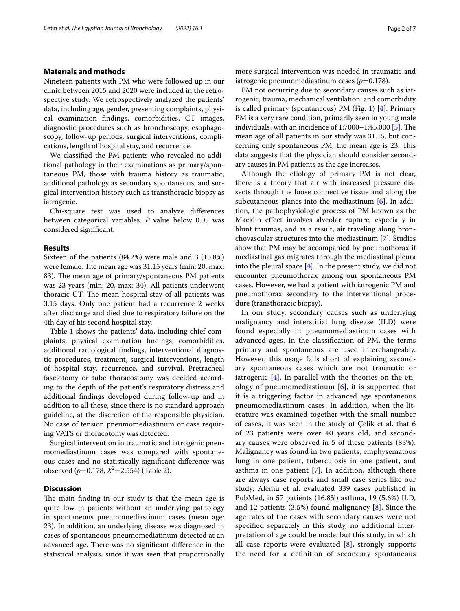## **Materıals and methods**

Nineteen patients with PM who were followed up in our clinic between 2015 and 2020 were included in the retrospective study. We retrospectively analyzed the patients' data, including age, gender, presenting complaints, physical examination fndings, comorbidities, CT images, diagnostic procedures such as bronchoscopy, esophagoscopy, follow-up periods, surgical interventions, complications, length of hospital stay, and recurrence.

We classifed the PM patients who revealed no additional pathology in their examinations as primary/spontaneous PM, those with trauma history as traumatic, additional pathology as secondary spontaneous, and surgical intervention history such as transthoracic biopsy as iatrogenic.

Chi-square test was used to analyze diferences between categorical variables. *P* value below 0.05 was considered signifcant.

## **Results**

Sixteen of the patients (84.2%) were male and 3 (15.8%) were female. The mean age was 31.15 years (min: 20, max: 83). The mean age of primary/spontaneous PM patients was 23 years (min: 20, max: 34). All patients underwent thoracic CT. The mean hospital stay of all patients was 3.15 days. Only one patient had a recurrence 2 weeks after discharge and died due to respiratory failure on the 4th day of his second hospital stay.

Table [1](#page-2-0) shows the patients' data, including chief complaints, physical examination fndings, comorbidities, additional radiological fndings, interventional diagnostic procedures, treatment, surgical interventions, length of hospital stay, recurrence, and survival. Pretracheal fasciotomy or tube thoracostomy was decided according to the depth of the patient's respiratory distress and additional fndings developed during follow-up and in addition to all these, since there is no standard approach guideline, at the discretion of the responsible physician. No case of tension pneumomediastinum or case requiring VATS or thoracotomy was detected.

Surgical intervention in traumatic and iatrogenic pneumomediastinum cases was compared with spontaneous cases and no statistically signifcant diference was observed (*p*=0.178, *X*<sup>2</sup>=2.554) (Table [2](#page-4-0)).

# **Discussion**

The main finding in our study is that the mean age is quite low in patients without an underlying pathology in spontaneous pneumomediastinum cases (mean age: 23). In addition, an underlying disease was diagnosed in cases of spontaneous pneumomediatinum detected at an advanced age. There was no significant difference in the statistical analysis, since it was seen that proportionally

PM not occurring due to secondary causes such as iatrogenic, trauma, mechanical ventilation, and comorbidity is called primary (spontaneous) PM (Fig. [1](#page-5-0)) [[4\]](#page-6-3). Primary PM is a very rare condition, primarily seen in young male individuals, with an incidence of  $1:7000-1:45,000$  [[5\]](#page-6-4). The mean age of all patients in our study was 31.15, but concerning only spontaneous PM, the mean age is 23. This data suggests that the physician should consider secondary causes in PM patients as the age increases.

Although the etiology of primary PM is not clear, there is a theory that air with increased pressure dissects through the loose connective tissue and along the subcutaneous planes into the mediastinum [\[6](#page-6-5)]. In addition, the pathophysiologic process of PM known as the Macklin efect involves alveolar rupture, especially in blunt traumas, and as a result, air traveling along bronchovascular structures into the mediastinum [[7\]](#page-6-6). Studies show that PM may be accompanied by pneumothorax if mediastinal gas migrates through the mediastinal pleura into the pleural space  $[4]$  $[4]$ . In the present study, we did not encounter pneumothorax among our spontaneous PM cases. However, we had a patient with iatrogenic PM and pneumothorax secondary to the interventional procedure (transthoracic biopsy).

In our study, secondary causes such as underlying malignancy and interstitial lung disease (ILD) were found especially in pneumomediastinum cases with advanced ages. In the classifcation of PM, the terms primary and spontaneous are used interchangeably. However, this usage falls short of explaining secondary spontaneous cases which are not traumatic or iatrogenic [[4\]](#page-6-3). In parallel with the theories on the etiology of pneumomediastinum [[6\]](#page-6-5), it is supported that it is a triggering factor in advanced age spontaneous pneumomediastinum cases. In addition, when the literature was examined together with the small number of cases, it was seen in the study of Çelik et al. that 6 of 23 patients were over 40 years old, and secondary causes were observed in 5 of these patients (83%). Malignancy was found in two patients, emphysematous lung in one patient, tuberculosis in one patient, and asthma in one patient [[7](#page-6-6)]. In addition, although there are always case reports and small case series like our study, Alemu et al. evaluated 339 cases published in PubMed, in 57 patients (16.8%) asthma, 19 (5.6%) ILD, and 12 patients (3.5%) found malignancy [[8\]](#page-6-7). Since the age rates of the cases with secondary causes were not specifed separately in this study, no additional interpretation of age could be made, but this study, in which all case reports were evaluated  $[8]$  $[8]$ , strongly supports the need for a defnition of secondary spontaneous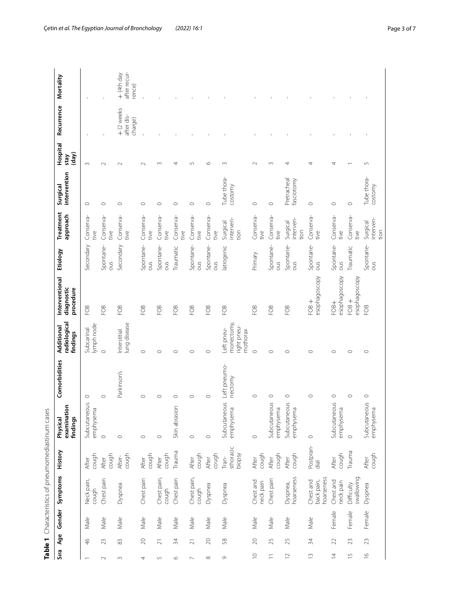<span id="page-2-0"></span>

|                                          | Mortality                                 |                               |                   | after recur-<br>$+$ (4th day<br>rence) |                   |                      |                   |                                               |                   |                                                    |                        |                           |                                |                                       |                           |                          |                               |
|------------------------------------------|-------------------------------------------|-------------------------------|-------------------|----------------------------------------|-------------------|----------------------|-------------------|-----------------------------------------------|-------------------|----------------------------------------------------|------------------------|---------------------------|--------------------------------|---------------------------------------|---------------------------|--------------------------|-------------------------------|
|                                          | Recurrence                                |                               |                   | + (2 weeks<br>after dis-<br>charge)    |                   |                      |                   |                                               |                   |                                                    |                        |                           |                                |                                       |                           |                          |                               |
|                                          | Hospital<br>(day)<br>stay                 | $\sim$                        | $\sim$            | $\sim$                                 | $\sim$            | $\infty$             | 4                 | 5                                             | $\circ$           | $\infty$                                           | $\sim$                 | $\sim$                    | 4                              | 4                                     | 4                         |                          | $\overline{5}$                |
|                                          | intervention<br>Surgical                  | $\circ$                       | $\circ$           | $\circ$                                | $\circ$           | $\circ$              | $\circ$           | $\circ$                                       | $\circ$           | Tube thora-<br>costomy                             | $\circ$                | $\circ$                   | Pretracheal<br>fasciotomy      | $\circ$                               | $\circ$                   | $\circ$                  | Tube thora-<br>costomy        |
|                                          | Treatment<br>approach                     | Conserva-<br>tive             | Conserva-<br>tive | Conserva-<br>tive                      | Conserva-<br>tive | Conserva-<br>tive    | Conserva-<br>tive | Conserva-<br>tive                             | Conserva-<br>tive | interven-<br>Surgical<br>tion                      | Conserva-<br>tive      | Conserva-<br>tive         | interven-<br>Surgical<br>tion  | Conserva-<br>tive                     | Conserva-<br>tive         | Conserva-<br>tive        | interven-<br>Surgical<br>tion |
|                                          | Etiology                                  | Secondary                     | Spontane-<br>ous  | Secondary                              | Spontane-<br>ous  | Spontane-<br>SIDO    | Traumatic         | Spontane-<br>SINO                             | Spontane-<br>ous  | atrogenic                                          | Primary                | Spontane-<br>Smo          | Spontane-<br>SIDO              | Spontane-<br>Smo                      | Spontane-<br>Smo          | Traumatic                | Spontane-<br>Smo              |
|                                          | Interventional<br>diagnostic<br>procedure | FOB                           | FOB               | FOB                                    | FOB               | FOB                  | FOB               | FOB                                           | FOB               | FOB                                                | FOB                    | FOB                       | FOB                            | esophagoscopy<br>$+80$                | esophagoscopy<br>FOB+     | esophagoscopy<br>$+80$   | FOB                           |
|                                          | radiological<br>Additional<br>findings    | lymph node<br>Subcarinal      | $\circ$           | lung disease<br>Interstitial           | $\circ$           | ◠                    | $\circ$           | $\circ$                                       | $\circ$           | monectomy<br>right pneu-<br>Left pneu-<br>mothorax | $\circ$                | $\circ$                   | O                              | $\circ$                               | $\circ$                   | $\circ$                  | $\circ$                       |
|                                          | Comorbidities                             | $\circ$                       | $\circ$           | Parkinson's                            | $\circ$           | $\circ$              | $\circ$           | $\circ$                                       | $\circ$           | Left pneumo-<br>nectomy                            | $\circ$                | $\circ$                   | $\circ$                        | $\circ$                               | $\circ$                   | $\circ$                  | $\circ$                       |
| G                                        | examination<br>findings<br>Physical       | aous<br>emphysema<br>Subcutan | $\circ$           | $\circ$                                | $\circ$           | $\circ$              | Skin abrasion     | $\circ$                                       | $\circ$           | Subcutaneous<br>emphysema                          | $\circ$                | Subcutaneous<br>emphysema | reous<br>emphysema<br>Subcutan | $\circ$                               | Subcutaneous<br>emphysema | $\circ$                  | Subcutaneous<br>emphysema     |
|                                          | History                                   | cough<br>After                | cough<br>After    | cough<br>After-                        | cough<br>After    | cough<br>After       | Trauma            | cough<br>After                                | cough<br>After    | sthoracic<br>biopsy<br>Tran-                       | cough<br>After         | cough<br>After            | cough<br>After                 | Postpran-<br>dial                     | cough<br>After            | Trauma                   | cough<br>After                |
| Characteristics of pneumomediastinum cas | Symptoms                                  | Neck pain,<br>cough           | Chest pain        | Dyspnea                                | Chest pain        | Chest pain,<br>cough | Chest pain        | Chest pain,<br>cough                          | Dyspnea           | Dyspnea                                            | Chest and<br>neck pain | Chest pain                | hoarseness<br>Dyspnea,         | hoarseness<br>Chest and<br>back pain, | Chest and<br>neck pain    | swallowing<br>Difficulty | Dyspnea                       |
|                                          | Gender                                    | $\mathbb U$<br>Ñ              | Male              | Male                                   | Male              | Male                 | Male              | Male                                          | Male              | Male                                               | Male                   | Male                      | Male                           | Male                                  | Female                    | Female                   | Female                        |
| Table 1                                  | Age<br>Sıra                               | $\frac{1}{2}$                 | 23                | $83\,$                                 | $\gtrsim$         | $\overline{\sim}$    | $\approx$         | $\overline{\sim}$                             | $\gtrsim$         | 58                                                 | $\gtrsim$              | 25                        | 25                             | 34                                    | $\mathfrak{D}$            | 23                       | 23                            |
|                                          |                                           | $\overline{\phantom{0}}$      | $\sim$            | $\sim$                                 | 4                 | $\mathsf{L}\cap$     | $\circ$           | $\mathord{\hspace{1pt}\text{--}\hspace{1pt}}$ | $\infty$          | $\circ$                                            | $\supseteq$            | $\overline{-}$            | $\overline{1}$                 | $\frac{1}{2}$                         | $\overline{4}$            | $\frac{5}{1}$            | $\frac{\infty}{\infty}$       |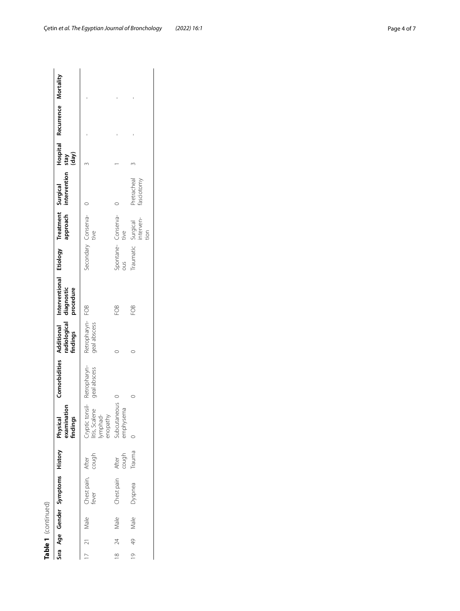| ۳ |
|---|
|   |
|   |
| ¢ |
|   |
|   |
|   |
|   |
|   |
|   |
|   |

|         |               | Table 1 (continued) |                                  |                |                                     |                                                                                         |                                 |                                                                                                                      |                                         |                           |              |                               |  |
|---------|---------------|---------------------|----------------------------------|----------------|-------------------------------------|-----------------------------------------------------------------------------------------|---------------------------------|----------------------------------------------------------------------------------------------------------------------|-----------------------------------------|---------------------------|--------------|-------------------------------|--|
|         |               |                     | Sıra Age Gender Symptoms History |                | Physical<br>examination<br>findings |                                                                                         |                                 | Comorbidities Additional Interventional Etiology Treatment Surgical<br>radiological diagnostic<br>findings procedure |                                         |                           | Kep)<br>Keps | Hospital Recurrence Mortality |  |
|         |               | Male                | Chest pain, After<br>fever cough |                |                                     | Cryptic tonsil- Retropharyn- R<br>litis, Scalene geal abscess g<br>lymphad-<br>enopathy | Retropharyn-FOB<br>geal abscess |                                                                                                                      | Secondary Conserva-0<br>tive            |                           |              |                               |  |
| ∞       | 24            | Male                | Chest pain                       | After<br>cough | Jubcutaneous<br>emphysema           |                                                                                         |                                 | FOB                                                                                                                  | Spontane- Conserva-<br>ous tive         |                           |              |                               |  |
| $\circ$ | $\frac{1}{2}$ | Male                | Dyspnea                          | Trauma         |                                     |                                                                                         |                                 | ĒΟB                                                                                                                  | Traumatic Surgical<br>interven-<br>tion | Pretracheal<br>fasciotomy |              |                               |  |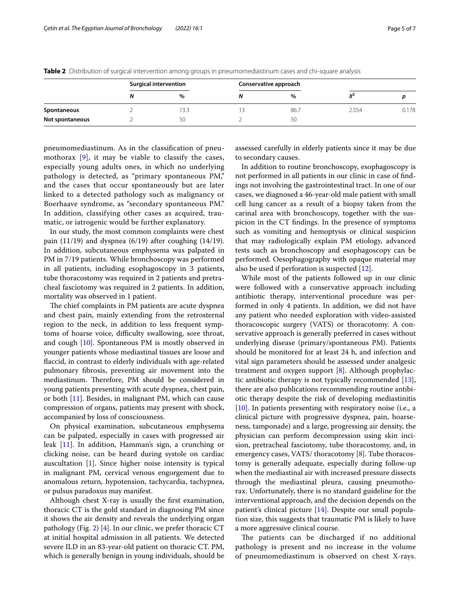|                 | <b>Surgical intervention</b> | Conservative approach |       |       |
|-----------------|------------------------------|-----------------------|-------|-------|
|                 | $\%$                         | $\%$                  | v     |       |
| Spontaneous     | 3.3                          | 86.7                  | 2.554 | 0.178 |
| Not spontaneous | 50                           | 50                    |       |       |

<span id="page-4-0"></span>**Table 2** Distribution of surgical intervention among groups in pneumomediastinum cases and chi-square analysis

pneumomediastinum. As in the classifcation of pneumothorax  $[9]$  $[9]$ , it may be viable to classify the cases, especially young adults ones, in which no underlying pathology is detected, as "primary spontaneous PM," and the cases that occur spontaneously but are later linked to a detected pathology such as malignancy or Boerhaave syndrome, as "secondary spontaneous PM." In addition, classifying other cases as acquired, traumatic, or iatrogenic would be further explanatory.

In our study, the most common complaints were chest pain  $(11/19)$  and dyspnea  $(6/19)$  after coughing  $(14/19)$ . In addition, subcutaneous emphysema was palpated in PM in 7/19 patients. While bronchoscopy was performed in all patients, including esophagoscopy in 3 patients, tube thoracostomy was required in 2 patients and pretracheal fasciotomy was required in 2 patients. In addition, mortality was observed in 1 patient.

The chief complaints in PM patients are acute dyspnea and chest pain, mainly extending from the retrosternal region to the neck, in addition to less frequent symptoms of hoarse voice, difficulty swallowing, sore throat, and cough [\[10](#page-6-9)]. Spontaneous PM is mostly observed in younger patients whose mediastinal tissues are loose and faccid, in contrast to elderly individuals with age-related pulmonary fbrosis, preventing air movement into the mediastinum. Therefore, PM should be considered in young patients presenting with acute dyspnea, chest pain, or both [[11\]](#page-6-10). Besides, in malignant PM, which can cause compression of organs, patients may present with shock, accompanied by loss of consciousness.

On physical examination, subcutaneous emphysema can be palpated, especially in cases with progressed air leak [[11\]](#page-6-10). In addition, Hamman's sign, a crunching or clicking noise, can be heard during systole on cardiac auscultation [\[1](#page-6-0)]. Since higher noise intensity is typical in malignant PM, cervical venous engorgement due to anomalous return, hypotension, tachycardia, tachypnea, or pulsus paradoxus may manifest.

Although chest X-ray is usually the frst examination, thoracic CT is the gold standard in diagnosing PM since it shows the air density and reveals the underlying organ pathology (Fig. [2\)](#page-5-1) [[4](#page-6-3)]. In our clinic, we prefer thoracic CT at initial hospital admission in all patients. We detected severe ILD in an 83-year-old patient on thoracic CT. PM, which is generally benign in young individuals, should be assessed carefully in elderly patients since it may be due to secondary causes.

In addition to routine bronchoscopy, esophagoscopy is not performed in all patients in our clinic in case of fndings not involving the gastrointestinal tract. In one of our cases, we diagnosed a 46-year-old male patient with small cell lung cancer as a result of a biopsy taken from the carinal area with bronchoscopy, together with the suspicion in the CT fndings. In the presence of symptoms such as vomiting and hemoptysis or clinical suspicion that may radiologically explain PM etiology, advanced tests such as bronchoscopy and esophagoscopy can be performed. Oesophagography with opaque material may also be used if perforation is suspected [[12\]](#page-6-11).

While most of the patients followed up in our clinic were followed with a conservative approach including antibiotic therapy, interventional procedure was performed in only 4 patients. In addition, we did not have any patient who needed exploration with video-assisted thoracoscopic surgery (VATS) or thoracotomy. A conservative approach is generally preferred in cases without underlying disease (primary/spontaneous PM). Patients should be monitored for at least 24 h, and infection and vital sign parameters should be assessed under analgesic treatment and oxygen support [\[8](#page-6-7)]. Although prophylactic antibiotic therapy is not typically recommended  $[13]$  $[13]$ , there are also publications recommending routine antibiotic therapy despite the risk of developing mediastinitis [[10\]](#page-6-9). In patients presenting with respiratory noise (i.e., a clinical picture with progressive dyspnea, pain, hoarseness, tamponade) and a large, progressing air density, the physician can perform decompression using skin incision, pretracheal fasciotomy, tube thoracostomy, and, in emergency cases, VATS/ thoracotomy [\[8](#page-6-7)]. Tube thoracostomy is generally adequate, especially during follow-up when the mediastinal air with increased pressure dissects through the mediastinal pleura, causing pneumothorax. Unfortunately, there is no standard guideline for the interventional approach, and the decision depends on the patient's clinical picture [[14](#page-6-13)]. Despite our small population size, this suggests that traumatic PM is likely to have a more aggressive clinical course.

The patients can be discharged if no additional pathology is present and no increase in the volume of pneumomediastinum is observed on chest X-rays.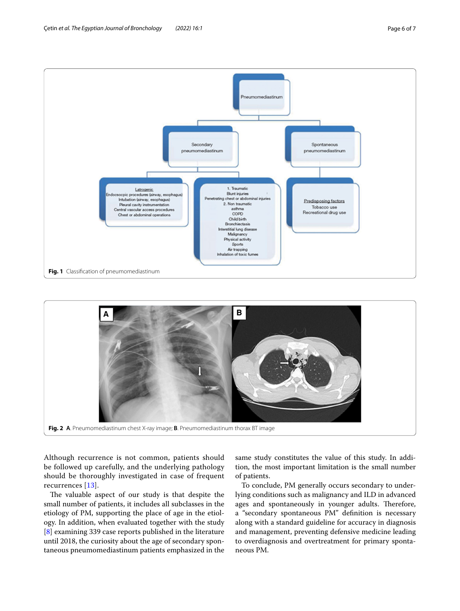

<span id="page-5-0"></span>

<span id="page-5-1"></span>Although recurrence is not common, patients should be followed up carefully, and the underlying pathology should be thoroughly investigated in case of frequent recurrences [\[13](#page-6-12)].

The valuable aspect of our study is that despite the small number of patients, it includes all subclasses in the etiology of PM, supporting the place of age in the etiology. In addition, when evaluated together with the study [[8\]](#page-6-7) examining 339 case reports published in the literature until 2018, the curiosity about the age of secondary spontaneous pneumomediastinum patients emphasized in the

same study constitutes the value of this study. In addition, the most important limitation is the small number of patients.

To conclude, PM generally occurs secondary to underlying conditions such as malignancy and ILD in advanced ages and spontaneously in younger adults. Therefore, a "secondary spontaneous PM" defnition is necessary along with a standard guideline for accuracy in diagnosis and management, preventing defensive medicine leading to overdiagnosis and overtreatment for primary spontaneous PM.